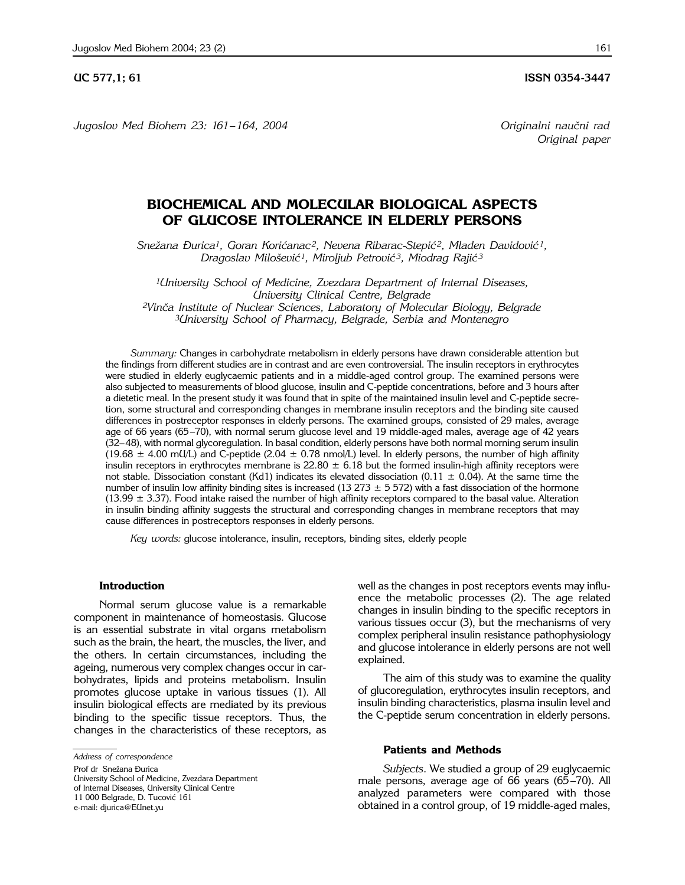**UC 577,1; 61 ISSN 0354-3447** 

*Jugoslov Med Biohem 23: 161– 164, 2004 Originalni nau~ni rad*

*Original paper*

## **BIOCHEMICAL AND MOLECULAR BIOLOGICAL ASPECTS OF GLUCOSE INTOLERANCE IN ELDERLY PERSONS**

*Sne`ana \urica1, Goran Kori}anac 2, Nevena Ribarac*-*Stepi} 2, Mladen Davidovi} 1, Dragoslav Milo{evi}1, Miroljub Petrovi} 3, Miodrag Raji} <sup>3</sup>*

*1University School of Medicine, Zvezdara Department of Internal Diseases, University Clinical Centre, Belgrade* <sup>2</sup>Vinča Institute of Nuclear Sciences, Laboratory of Molecular Biology, Belgrade *3University School of Pharmacy, Belgrade, Serbia and Montenegro* 

*Summary:* Changes in carbohydrate metabolism in elderly persons have drawn considerable attention but the findings from different studies are in contrast and are even controversial. The insulin receptors in erythrocytes were studied in elderly euglycaemic patients and in a middle-aged control group. The examined persons were also subjected to measurements of blood glucose, insulin and C-peptide concentrations, before and 3 hours after a dietetic meal. In the present study it was found that in spite of the maintained insulin level and C-peptide secretion, some structural and corresponding changes in membrane insulin receptors and the binding site caused differences in postreceptor responses in elderly persons. The examined groups, consisted of 29 males, average age of 66 years (65-70), with normal serum glucose level and 19 middle-aged males, average age of 42 years (32-48), with normal glycoregulation. In basal condition, elderly persons have both normal morning serum insulin (19.68  $\pm$  4.00 mU/L) and C-peptide (2.04  $\pm$  0.78 nmol/L) level. In elderly persons, the number of high affinity insulin receptors in erythrocytes membrane is  $22.80 \pm 6.18$  but the formed insulin-high affinity receptors were not stable. Dissociation constant (Kd1) indicates its elevated dissociation (0.11  $\pm$  0.04). At the same time the number of insulin low affinity binding sites is increased (13 273  $\pm$  5 572) with a fast dissociation of the hormone (13.99  $\pm$  3.37). Food intake raised the number of high affinity receptors compared to the basal value. Alteration in insulin binding affinity suggests the structural and corresponding changes in membrane receptors that may cause differences in postreceptors responses in elderly persons.

*Key words:* glucose intolerance, insulin, receptors, binding sites, elderly people

### **Introduction**

Normal serum glucose value is a remarkable component in maintenance of homeostasis. Glucose is an essential substrate in vital organs metabolism such as the brain, the heart, the muscles, the liver, and the others. In certain circumstances, including the ageing, numerous very complex changes occur in carbohydrates, lipids and proteins metabolism. Insulin promotes glucose uptake in various tissues (1). All insulin biological effects are mediated by its previous binding to the specific tissue receptors. Thus, the changes in the characteristics of these receptors, as

Prof dr Snežana Đurica

University School of Medicine, Zvezdara Department of Internal Diseases, University Clinical Centre 11 000 Belgrade, D. Tucović 161 e-mail: djurica@EUnet.yu

well as the changes in post receptors events may influence the metabolic processes (2). The age related changes in insulin binding to the specific receptors in various tissues occur (3), but the mechanisms of very complex peripheral insulin resistance pathophysiology and glucose intolerance in elderly persons are not well explained.

The aim of this study was to examine the quality of glucoregulation, erythrocytes insulin receptors, and insulin binding characteristics, plasma insulin level and the C-peptide serum concentration in elderly persons.

## **Patients and Methods**

*Subjects*. We studied a group of 29 euglycaemic male persons, average age of 66 years  $(65-70)$ . All analyzed parameters were compared with those obtained in a control group, of 19 middle-aged males,

*Address of correspondence*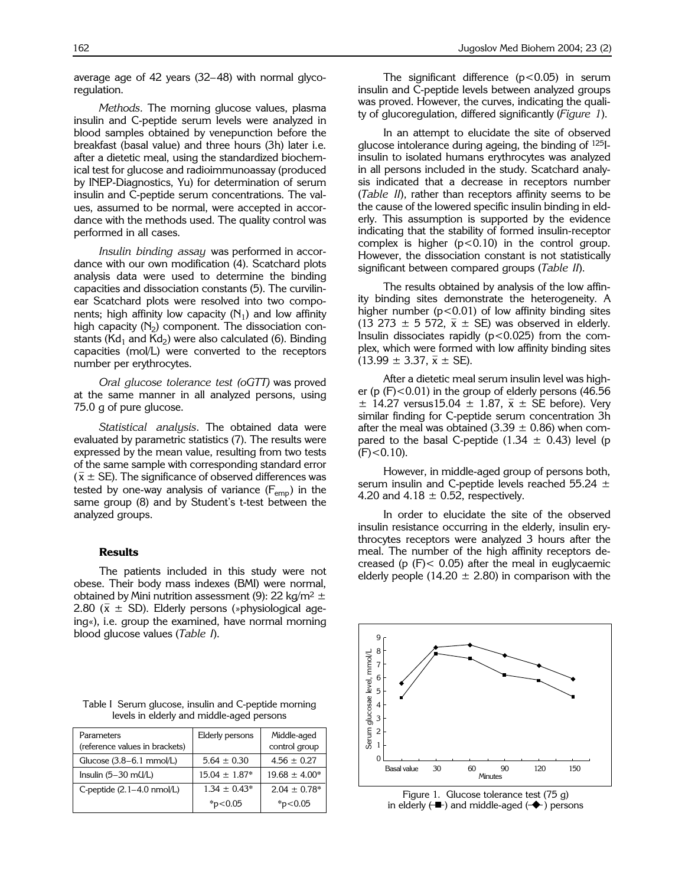average age of 42 years  $(32-48)$  with normal glycoregulation.

*Methods.* The morning glucose values, plasma insulin and C-peptide serum levels were analyzed in blood samples obtained by venepunction before the breakfast (basal value) and three hours (3h) later i.e. after a dietetic meal, using the standardized biochemical test for glucose and radioimmunoassay (produced by INEP-Diagnostics, Yu) for determination of serum insulin and C-peptide serum concentrations. The values, assumed to be normal, were accepted in accordance with the methods used. The quality control was performed in all cases.

*Insulin binding assay* was performed in accordance with our own modification (4). Scatchard plots analysis data were used to determine the binding capacities and dissociation constants (5). The curvilinear Scatchard plots were resolved into two components; high affinity low capacity  $(N_1)$  and low affinity high capacity  $(N_2)$  component. The dissociation constants (Kd<sub>1</sub> and Kd<sub>2</sub>) were also calculated (6). Binding capacities (mol/L) were converted to the receptors number per erythrocytes.

*Oral glucose tolerance test (oGTT)* was proved at the same manner in all analyzed persons, using 75.0 g of pure glucose.

*Statistical analysis*. The obtained data were evaluated by parametric statistics (7). The results were expressed by the mean value, resulting from two tests of the same sample with corresponding standard error  $(\bar{x} \pm SE)$ . The significance of observed differences was tested by one-way analysis of variance  $(F_{emp})$  in the same group (8) and by Student's t-test between the analyzed groups.

## **Results**

The patients included in this study were not obese. Their body mass indexes (BMI) were normal, obtained by Mini nutrition assessment (9): 22 kg/m<sup>2</sup>  $\pm$ 2.80 ( $\bar{x} \pm$  SD). Elderly persons (»physiological ageing«), i.e. group the examined, have normal morning blood glucose values (*Table I*).

The significant difference  $(p<0.05)$  in serum insulin and C-peptide levels between analyzed groups was proved. However, the curves, indicating the quality of glucoregulation, differed significantly (*Figure 1*).

In an attempt to elucidate the site of observed glucose intolerance during ageing, the binding of 125Iinsulin to isolated humans erythrocytes was analyzed in all persons included in the study. Scatchard analysis indicated that a decrease in receptors number (*Table II*), rather than receptors affinity seems to be the cause of the lowered specific insulin binding in elderly. This assumption is supported by the evidence indicating that the stability of formed insulin-receptor complex is higher  $(p<0.10)$  in the control group. However, the dissociation constant is not statistically significant between compared groups (*Table II*).

The results obtained by analysis of the low affinity binding sites demonstrate the heterogeneity. A higher number  $(p<0.01)$  of low affinity binding sites (13 273  $\pm$  5 572,  $\bar{x}$   $\pm$  SE) was observed in elderly. Insulin dissociates rapidly  $(p<0.025)$  from the complex, which were formed with low affinity binding sites  $(13.99 \pm 3.37, \bar{x} \pm \text{SE}).$ 

After a dietetic meal serum insulin level was higher (p  $(F)$  < 0.01) in the group of elderly persons (46.56)  $\pm$  14.27 versus15.04  $\pm$  1.87,  $\bar{x} \pm$  SE before). Very similar finding for C-peptide serum concentration 3h after the meal was obtained (3.39  $\pm$  0.86) when compared to the basal C-peptide (1.34  $\pm$  0.43) level (p  $(F)$  < 0.10).

However, in middle-aged group of persons both, serum insulin and C-peptide levels reached 55.24  $\pm$ 4.20 and 4.18  $\pm$  0.52, respectively.

In order to elucidate the site of the observed insulin resistance occurring in the elderly, insulin erythrocytes receptors were analyzed 3 hours after the meal. The number of the high affinity receptors decreased (p  $(F)$  < 0.05) after the meal in euglycaemic elderly people (14.20  $\pm$  2.80) in comparison with the



Table I Serum glucose, insulin and C-peptide morning levels in elderly and middle-aged persons

| Parameters<br>(reference values in brackets) | Elderly persons   | Middle-aged<br>control group |
|----------------------------------------------|-------------------|------------------------------|
| Glucose $(3.8-6.1$ mmol/L)                   | $5.64 \pm 0.30$   | $4.56 + 0.27$                |
| Insulin $(5-30 \text{ mU/L})$                | $15.04 \pm 1.87*$ | $19.68 \pm 4.00*$            |
| C-peptide $(2.1-4.0 \text{ nmol/L})$         | $1.34 \pm 0.43^*$ | $2.04 \pm 0.78^*$            |
|                                              | $*_{p<0.05}$      | * $p<0.05$                   |

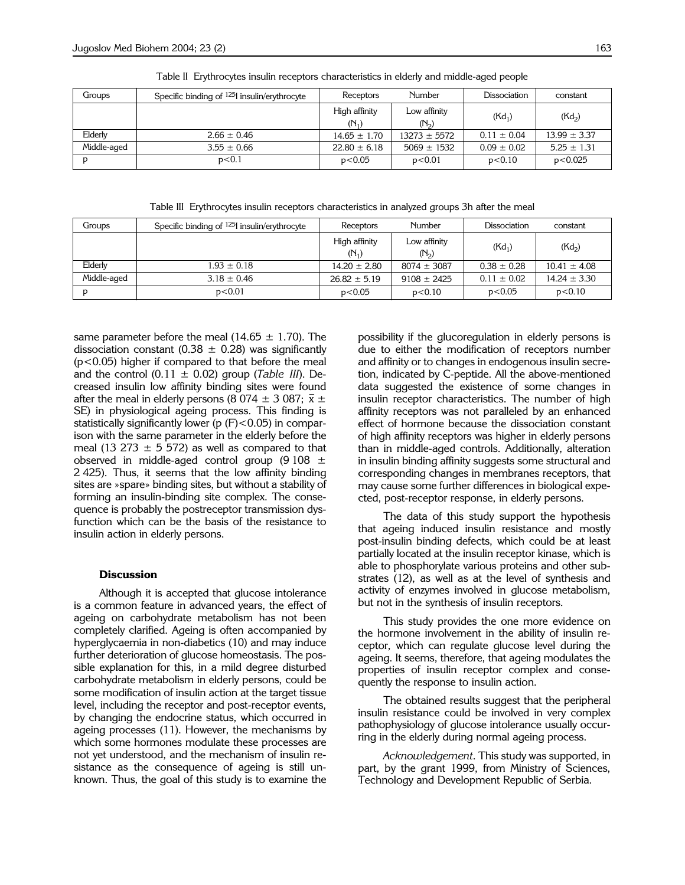| Groups      | Specific binding of <sup>125</sup> insulin/erythrocyte | Receptors        | Number            | Dissociation    | constant           |
|-------------|--------------------------------------------------------|------------------|-------------------|-----------------|--------------------|
|             |                                                        | High affinity    | Low affinity      | $(Kd_1)$        | (Kd <sub>2</sub> ) |
|             |                                                        | $(N_1)$          | (N <sub>2</sub> ) |                 |                    |
| Elderly     | $2.66 \pm 0.46$                                        | $14.65 \pm 1.70$ | $13273 \pm 5572$  | $0.11 \pm 0.04$ | $13.99 \pm 3.37$   |
| Middle-aged | $3.55 \pm 0.66$                                        | $22.80 \pm 6.18$ | $5069 \pm 1532$   | $0.09 \pm 0.02$ | $5.25 \pm 1.31$    |
|             | p< 0.1                                                 | p<0.05           | p<0.01            | p<0.10          | p<0.025            |

Table II Erythrocytes insulin receptors characteristics in elderly and middle-aged people

Table III Erythrocytes insulin receptors characteristics in analyzed groups 3h after the meal

| Groups      | Specific binding of <sup>125</sup> insulin/erythrocyte | Receptors        | Number            | <b>Dissociation</b> | constant           |
|-------------|--------------------------------------------------------|------------------|-------------------|---------------------|--------------------|
|             |                                                        | High affinity    | Low affinity      | $(Kd_1)$            | (Kd <sub>2</sub> ) |
|             |                                                        | $(N_1)$          | (N <sub>2</sub> ) |                     |                    |
| Elderly     | $1.93 \pm 0.18$                                        | $14.20 \pm 2.80$ | $8074 \pm 3087$   | $0.38 \pm 0.28$     | $10.41 \pm 4.08$   |
| Middle-aged | $3.18 \pm 0.46$                                        | $26.82 \pm 5.19$ | $9108 \pm 2425$   | $0.11 \pm 0.02$     | $14.24 \pm 3.30$   |
|             | p<0.01                                                 | p<0.05           | p<0.10            | p<0.05              | p<0.10             |

same parameter before the meal (14.65  $\pm$  1.70). The dissociation constant (0.38  $\pm$  0.28) was significantly (p<0.05) higher if compared to that before the meal and the control  $(0.11 \pm 0.02)$  group (*Table III*). Decreased insulin low affinity binding sites were found after the meal in elderly persons (8 074  $\pm$  3 087;  $\bar{x}$   $\pm$ SE) in physiological ageing process. This finding is statistically significantly lower ( $p$  ( $F$ ) $<$ 0.05) in comparison with the same parameter in the elderly before the meal (13 273  $\pm$  5 572) as well as compared to that observed in middle-aged control group (9 108  $\pm$ 2 425). Thus, it seems that the low affinity binding sites are »spare» binding sites, but without a stability of forming an insulin-binding site complex. The consequence is probably the postreceptor transmission dysfunction which can be the basis of the resistance to insulin action in elderly persons.

### **Discussion**

Although it is accepted that glucose intolerance is a common feature in advanced years, the effect of ageing on carbohydrate metabolism has not been completely clarified. Ageing is often accompanied by hyperglycaemia in non-diabetics (10) and may induce further deterioration of glucose homeostasis. The possible explanation for this, in a mild degree disturbed carbohydrate metabolism in elderly persons, could be some modification of insulin action at the target tissue level, including the receptor and post-receptor events, by changing the endocrine status, which occurred in ageing processes (11). However, the mechanisms by which some hormones modulate these processes are not yet understood, and the mechanism of insulin resistance as the consequence of ageing is still unknown. Thus, the goal of this study is to examine the

possibility if the glucoregulation in elderly persons is due to either the modification of receptors number and affinity or to changes in endogenous insulin secretion, indicated by C-peptide. All the above-mentioned data suggested the existence of some changes in insulin receptor characteristics. The number of high affinity receptors was not paralleled by an enhanced effect of hormone because the dissociation constant of high affinity receptors was higher in elderly persons than in middle-aged controls. Additionally, alteration in insulin binding affinity suggests some structural and corresponding changes in membranes receptors, that may cause some further differences in biological expected, post-receptor response, in elderly persons.

The data of this study support the hypothesis that ageing induced insulin resistance and mostly post-insulin binding defects, which could be at least partially located at the insulin receptor kinase, which is able to phosphorylate various proteins and other substrates (12), as well as at the level of synthesis and activity of enzymes involved in glucose metabolism, but not in the synthesis of insulin receptors.

This study provides the one more evidence on the hormone involvement in the ability of insulin receptor, which can regulate glucose level during the ageing. It seems, therefore, that ageing modulates the properties of insulin receptor complex and consequently the response to insulin action.

The obtained results suggest that the peripheral insulin resistance could be involved in very complex pathophysiology of glucose intolerance usually occurring in the elderly during normal ageing process.

*Acknowledgement*. This study was supported, in part, by the grant 1999, from Ministry of Sciences, Technology and Development Republic of Serbia.